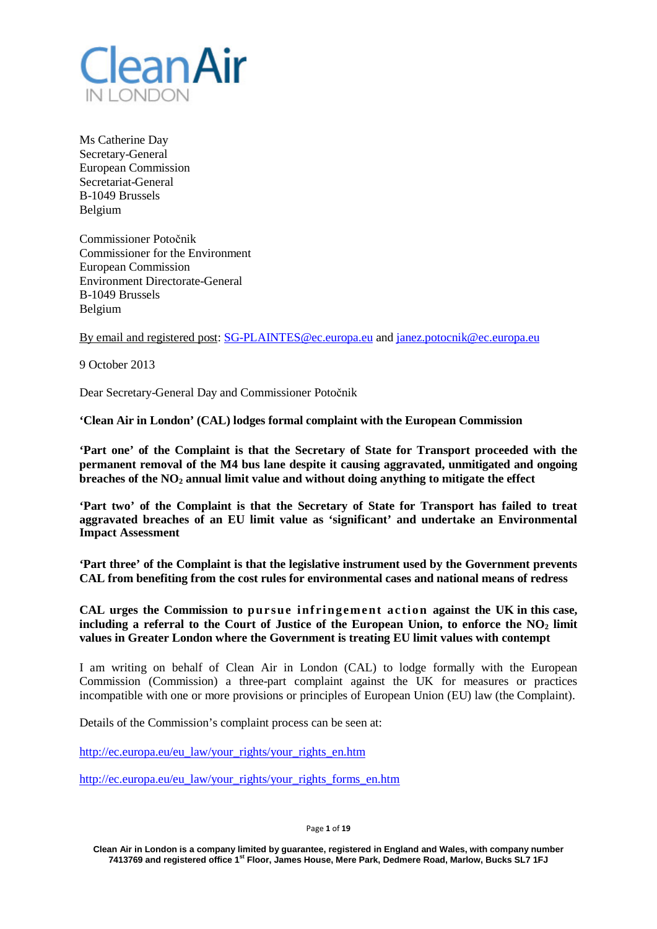

Ms Catherine Day Secretary-General European Commission Secretariat-General B-1049 Brussels Belgium

Commissioner Potočnik Commissioner for the Environment European Commission Environment Directorate-General B-1049 Brussels Belgium

By email and registered post: [SG-PLAINTES@ec.europa.eu](mailto:SG-PLAINTES@ec.europa.eu) and [janez.potocnik@ec.europa.eu](mailto:janez.potocnik@ec.europa.eu)

9 October 2013

Dear Secretary-General Day and Commissioner Potočnik

**'Clean Air in London' (CAL) lodges formal complaint with the European Commission**

**'Part one' of the Complaint is that the Secretary of State for Transport proceeded with the permanent removal of the M4 bus lane despite it causing aggravated, unmitigated and ongoing breaches of the NO2 annual limit value and without doing anything to mitigate the effect**

**'Part two' of the Complaint is that the Secretary of State for Transport has failed to treat aggravated breaches of an EU limit value as 'significant' and undertake an Environmental Impact Assessment**

**'Part three' of the Complaint is that the legislative instrument used by the Government prevents CAL from benefiting from the cost rules for environmental cases and national means of redress**

**CAL urges the Commission to pursue infringement action against the UK in this case, including a referral to the Court of Justice of the European Union, to enforce the NO2 limit values in Greater London where the Government is treating EU limit values with contempt**

I am writing on behalf of Clean Air in London (CAL) to lodge formally with the European Commission (Commission) a three-part complaint against the UK for measures or practices incompatible with one or more provisions or principles of European Union (EU) law (the Complaint).

Details of the Commission's complaint process can be seen at:

[http://ec.europa.eu/eu\\_law/your\\_rights/your\\_rights\\_en.htm](http://ec.europa.eu/eu_law/your_rights/your_rights_en.htm)

[http://ec.europa.eu/eu\\_law/your\\_rights/your\\_rights\\_forms\\_en.htm](http://ec.europa.eu/eu_law/your_rights/your_rights_forms_en.htm)

Page **1** of **19**

**Clean Air in London is a company limited by guarantee, registered in England and Wales, with company number 7413769 and registered office 1st Floor, James House, Mere Park, Dedmere Road, Marlow, Bucks SL7 1FJ**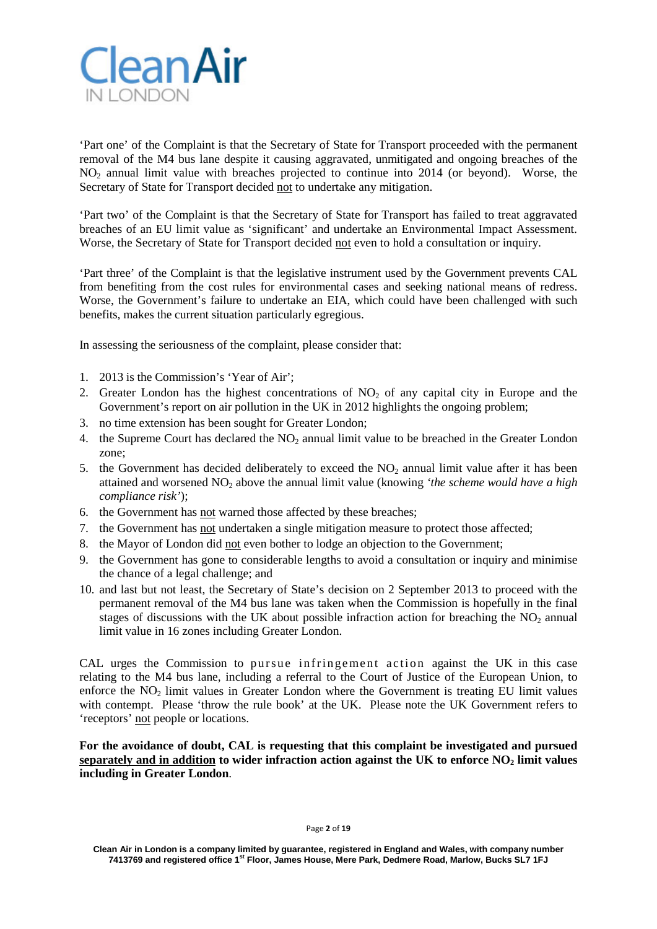

'Part one' of the Complaint is that the Secretary of State for Transport proceeded with the permanent removal of the M4 bus lane despite it causing aggravated, unmitigated and ongoing breaches of the NO2 annual limit value with breaches projected to continue into 2014 (or beyond). Worse, the Secretary of State for Transport decided not to undertake any mitigation.

'Part two' of the Complaint is that the Secretary of State for Transport has failed to treat aggravated breaches of an EU limit value as 'significant' and undertake an Environmental Impact Assessment. Worse, the Secretary of State for Transport decided not even to hold a consultation or inquiry.

'Part three' of the Complaint is that the legislative instrument used by the Government prevents CAL from benefiting from the cost rules for environmental cases and seeking national means of redress. Worse, the Government's failure to undertake an EIA, which could have been challenged with such benefits, makes the current situation particularly egregious.

In assessing the seriousness of the complaint, please consider that:

- 1. 2013 is the Commission's 'Year of Air';
- 2. Greater London has the highest concentrations of  $NO<sub>2</sub>$  of any capital city in Europe and the Government's report on air pollution in the UK in 2012 highlights the ongoing problem;
- 3. no time extension has been sought for Greater London;
- 4. the Supreme Court has declared the NO<sub>2</sub> annual limit value to be breached in the Greater London zone;
- 5. the Government has decided deliberately to exceed the  $NO<sub>2</sub>$  annual limit value after it has been attained and worsened NO2 above the annual limit value (knowing *'the scheme would have a high compliance risk'*);
- 6. the Government has not warned those affected by these breaches;
- 7. the Government has not undertaken a single mitigation measure to protect those affected;
- 8. the Mayor of London did not even bother to lodge an objection to the Government;
- 9. the Government has gone to considerable lengths to avoid a consultation or inquiry and minimise the chance of a legal challenge; and
- 10. and last but not least, the Secretary of State's decision on 2 September 2013 to proceed with the permanent removal of the M4 bus lane was taken when the Commission is hopefully in the final stages of discussions with the UK about possible infraction action for breaching the  $NO<sub>2</sub>$  annual limit value in 16 zones including Greater London.

CAL urges the Commission to pursue infringement action against the UK in this case relating to the M4 bus lane, including a referral to the Court of Justice of the European Union, to enforce the NO<sub>2</sub> limit values in Greater London where the Government is treating EU limit values with contempt. Please 'throw the rule book' at the UK. Please note the UK Government refers to 'receptors' not people or locations.

**For the avoidance of doubt, CAL is requesting that this complaint be investigated and pursued separately** and in addition to wider infraction action against the UK to enforce NO<sub>2</sub> limit values **including in Greater London**.

Page **2** of **19**

**Clean Air in London is a company limited by guarantee, registered in England and Wales, with company number 7413769 and registered office 1st Floor, James House, Mere Park, Dedmere Road, Marlow, Bucks SL7 1FJ**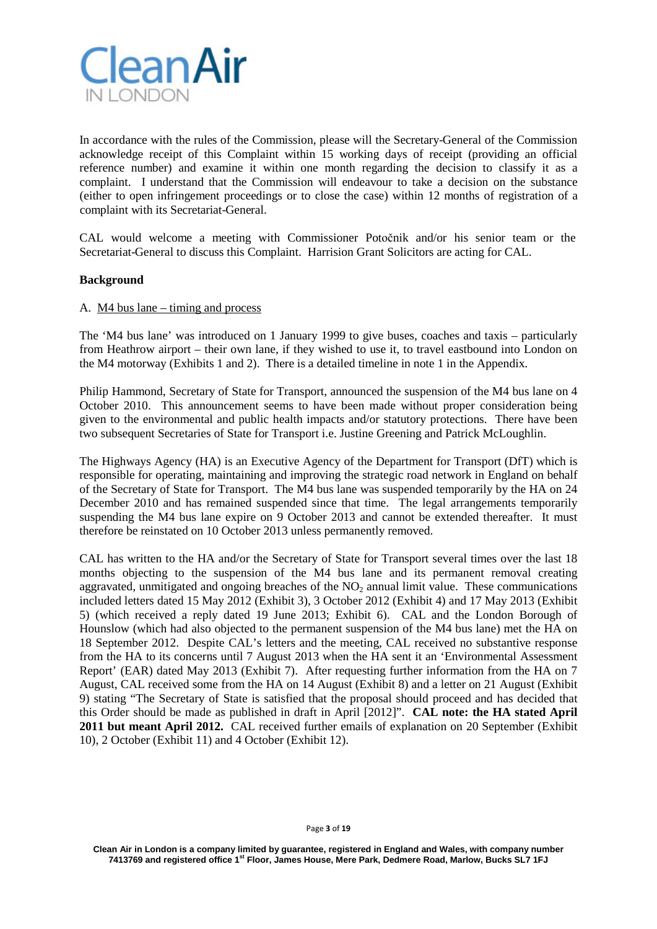

In accordance with the rules of the Commission, please will the Secretary-General of the Commission acknowledge receipt of this Complaint within 15 working days of receipt (providing an official reference number) and examine it within one month regarding the decision to classify it as a complaint. I understand that the Commission will endeavour to take a decision on the substance (either to open infringement proceedings or to close the case) within 12 months of registration of a complaint with its Secretariat-General.

CAL would welcome a meeting with Commissioner Potočnik and/or his senior team or the Secretariat-General to discuss this Complaint. Harrision Grant Solicitors are acting for CAL.

#### **Background**

#### A. M4 bus lane – timing and process

The 'M4 bus lane' was introduced on 1 January 1999 to give buses, coaches and taxis – particularly from Heathrow airport – their own lane, if they wished to use it, to travel eastbound into London on the M4 motorway (Exhibits 1 and 2). There is a detailed timeline in note 1 in the Appendix.

Philip Hammond, Secretary of State for Transport, announced the suspension of the M4 bus lane on 4 October 2010. This announcement seems to have been made without proper consideration being given to the environmental and public health impacts and/or statutory protections. There have been two subsequent Secretaries of State for Transport i.e. Justine Greening and Patrick McLoughlin.

The Highways Agency (HA) is an Executive Agency of the Department for Transport (DfT) which is responsible for operating, maintaining and improving the strategic road network in England on behalf of the Secretary of State for Transport. The M4 bus lane was suspended temporarily by the HA on 24 December 2010 and has remained suspended since that time. The legal arrangements temporarily suspending the M4 bus lane expire on 9 October 2013 and cannot be extended thereafter. It must therefore be reinstated on 10 October 2013 unless permanently removed.

CAL has written to the HA and/or the Secretary of State for Transport several times over the last 18 months objecting to the suspension of the M4 bus lane and its permanent removal creating aggravated, unmitigated and ongoing breaches of the  $NO<sub>2</sub>$  annual limit value. These communications included letters dated 15 May 2012 (Exhibit 3), 3 October 2012 (Exhibit 4) and 17 May 2013 (Exhibit 5) (which received a reply dated 19 June 2013; Exhibit 6). CAL and the London Borough of Hounslow (which had also objected to the permanent suspension of the M4 bus lane) met the HA on 18 September 2012. Despite CAL's letters and the meeting, CAL received no substantive response from the HA to its concerns until 7 August 2013 when the HA sent it an 'Environmental Assessment Report' (EAR) dated May 2013 (Exhibit 7). After requesting further information from the HA on 7 August, CAL received some from the HA on 14 August (Exhibit 8) and a letter on 21 August (Exhibit 9) stating "The Secretary of State is satisfied that the proposal should proceed and has decided that this Order should be made as published in draft in April [2012]". **CAL note: the HA stated April 2011 but meant April 2012.** CAL received further emails of explanation on 20 September (Exhibit 10), 2 October (Exhibit 11) and 4 October (Exhibit 12).

#### Page **3** of **19**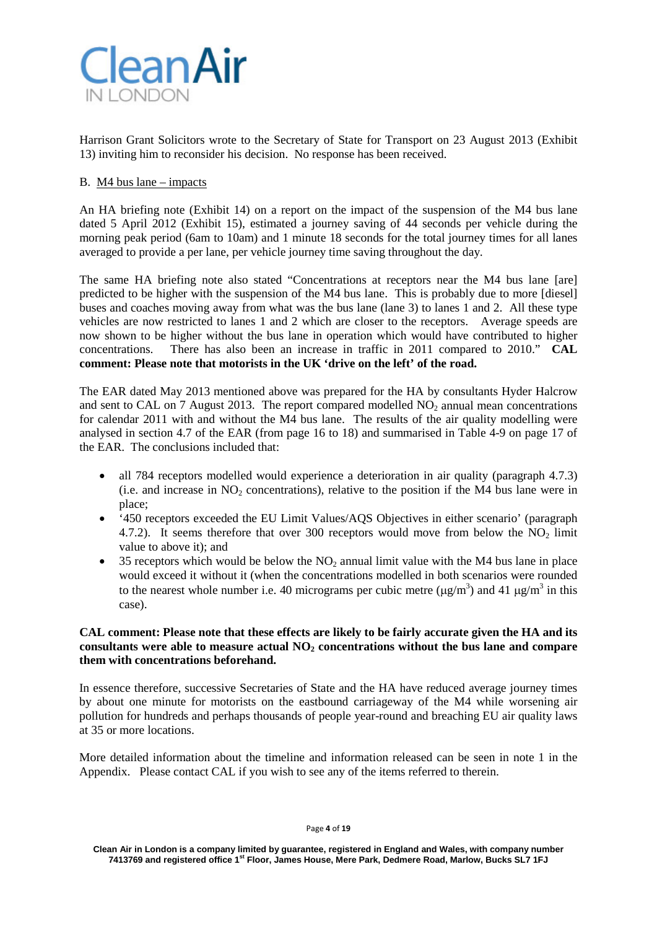

Harrison Grant Solicitors wrote to the Secretary of State for Transport on 23 August 2013 (Exhibit 13) inviting him to reconsider his decision. No response has been received.

## B. M4 bus lane – impacts

An HA briefing note (Exhibit 14) on a report on the impact of the suspension of the M4 bus lane dated 5 April 2012 (Exhibit 15), estimated a journey saving of 44 seconds per vehicle during the morning peak period (6am to 10am) and 1 minute 18 seconds for the total journey times for all lanes averaged to provide a per lane, per vehicle journey time saving throughout the day.

The same HA briefing note also stated "Concentrations at receptors near the M4 bus lane [are] predicted to be higher with the suspension of the M4 bus lane. This is probably due to more [diesel] buses and coaches moving away from what was the bus lane (lane 3) to lanes 1 and 2. All these type vehicles are now restricted to lanes 1 and 2 which are closer to the receptors. Average speeds are now shown to be higher without the bus lane in operation which would have contributed to higher concentrations. There has also been an increase in traffic in 2011 compared to 2010." **CAL comment: Please note that motorists in the UK 'drive on the left' of the road.** 

The EAR dated May 2013 mentioned above was prepared for the HA by consultants Hyder Halcrow and sent to CAL on 7 August 2013. The report compared modelled  $NO<sub>2</sub>$  annual mean concentrations for calendar 2011 with and without the M4 bus lane. The results of the air quality modelling were analysed in section 4.7 of the EAR (from page 16 to 18) and summarised in Table 4-9 on page 17 of the EAR. The conclusions included that:

- all 784 receptors modelled would experience a deterioration in air quality (paragraph 4.7.3) (i.e. and increase in  $NO<sub>2</sub>$  concentrations), relative to the position if the M4 bus lane were in place;
- '450 receptors exceeded the EU Limit Values/AQS Objectives in either scenario' (paragraph 4.7.2). It seems therefore that over 300 receptors would move from below the  $NO<sub>2</sub>$  limit value to above it); and
- 35 receptors which would be below the  $NO<sub>2</sub>$  annual limit value with the M4 bus lane in place would exceed it without it (when the concentrations modelled in both scenarios were rounded to the nearest whole number i.e. 40 micrograms per cubic metre  $(\mu g/m^3)$  and 41  $\mu g/m^3$  in this case).

#### **CAL comment: Please note that these effects are likely to be fairly accurate given the HA and its consultants were able to measure actual NO<sub>2</sub> concentrations without the bus lane and compare them with concentrations beforehand.**

In essence therefore, successive Secretaries of State and the HA have reduced average journey times by about one minute for motorists on the eastbound carriageway of the M4 while worsening air pollution for hundreds and perhaps thousands of people year-round and breaching EU air quality laws at 35 or more locations.

More detailed information about the timeline and information released can be seen in note 1 in the Appendix. Please contact CAL if you wish to see any of the items referred to therein.

Page **4** of **19**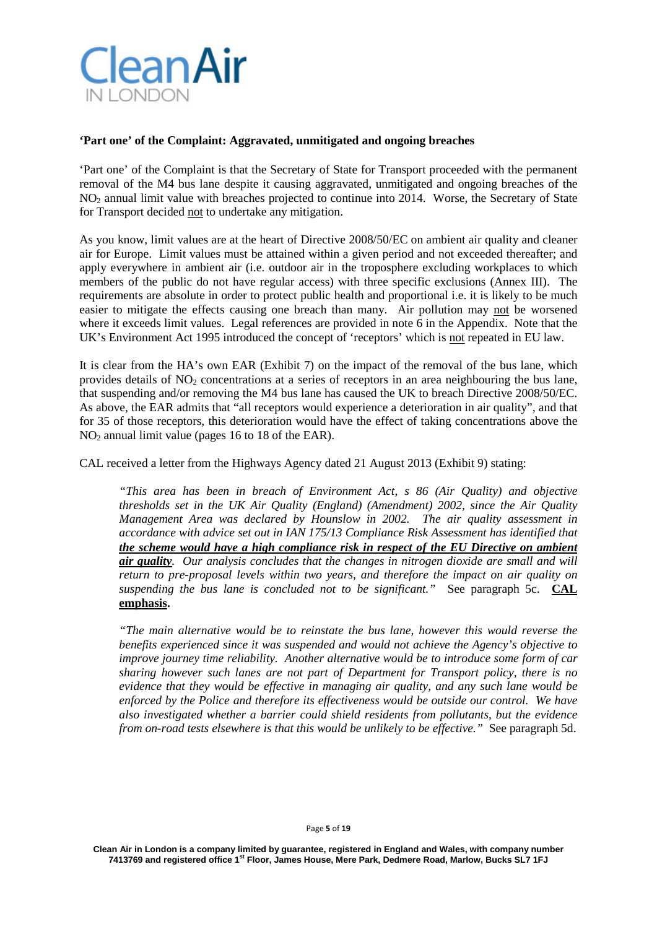

#### **'Part one' of the Complaint: Aggravated, unmitigated and ongoing breaches**

'Part one' of the Complaint is that the Secretary of State for Transport proceeded with the permanent removal of the M4 bus lane despite it causing aggravated, unmitigated and ongoing breaches of the NO2 annual limit value with breaches projected to continue into 2014. Worse, the Secretary of State for Transport decided not to undertake any mitigation.

As you know, limit values are at the heart of Directive 2008/50/EC on ambient air quality and cleaner air for Europe. Limit values must be attained within a given period and not exceeded thereafter; and apply everywhere in ambient air (i.e. outdoor air in the troposphere excluding workplaces to which members of the public do not have regular access) with three specific exclusions (Annex III). The requirements are absolute in order to protect public health and proportional i.e. it is likely to be much easier to mitigate the effects causing one breach than many. Air pollution may not be worsened where it exceeds limit values. Legal references are provided in note 6 in the Appendix. Note that the UK's Environment Act 1995 introduced the concept of 'receptors' which is not repeated in EU law.

It is clear from the HA's own EAR (Exhibit 7) on the impact of the removal of the bus lane, which provides details of  $NO<sub>2</sub>$  concentrations at a series of receptors in an area neighbouring the bus lane, that suspending and/or removing the M4 bus lane has caused the UK to breach Directive 2008/50/EC. As above, the EAR admits that "all receptors would experience a deterioration in air quality", and that for 35 of those receptors, this deterioration would have the effect of taking concentrations above the  $NO<sub>2</sub>$  annual limit value (pages 16 to 18 of the EAR).

CAL received a letter from the Highways Agency dated 21 August 2013 (Exhibit 9) stating:

*"This area has been in breach of Environment Act, s 86 (Air Quality) and objective thresholds set in the UK Air Quality (England) (Amendment) 2002, since the Air Quality Management Area was declared by Hounslow in 2002. The air quality assessment in accordance with advice set out in IAN 175/13 Compliance Risk Assessment has identified that the scheme would have a high compliance risk in respect of the EU Directive on ambient air quality. Our analysis concludes that the changes in nitrogen dioxide are small and will return to pre-proposal levels within two years, and therefore the impact on air quality on suspending the bus lane is concluded not to be significant."* See paragraph 5c.**CAL emphasis.**

*"The main alternative would be to reinstate the bus lane, however this would reverse the benefits experienced since it was suspended and would not achieve the Agency's objective to improve journey time reliability. Another alternative would be to introduce some form of car sharing however such lanes are not part of Department for Transport policy, there is no evidence that they would be effective in managing air quality, and any such lane would be enforced by the Police and therefore its effectiveness would be outside our control. We have also investigated whether a barrier could shield residents from pollutants, but the evidence from on-road tests elsewhere is that this would be unlikely to be effective."* See paragraph 5d.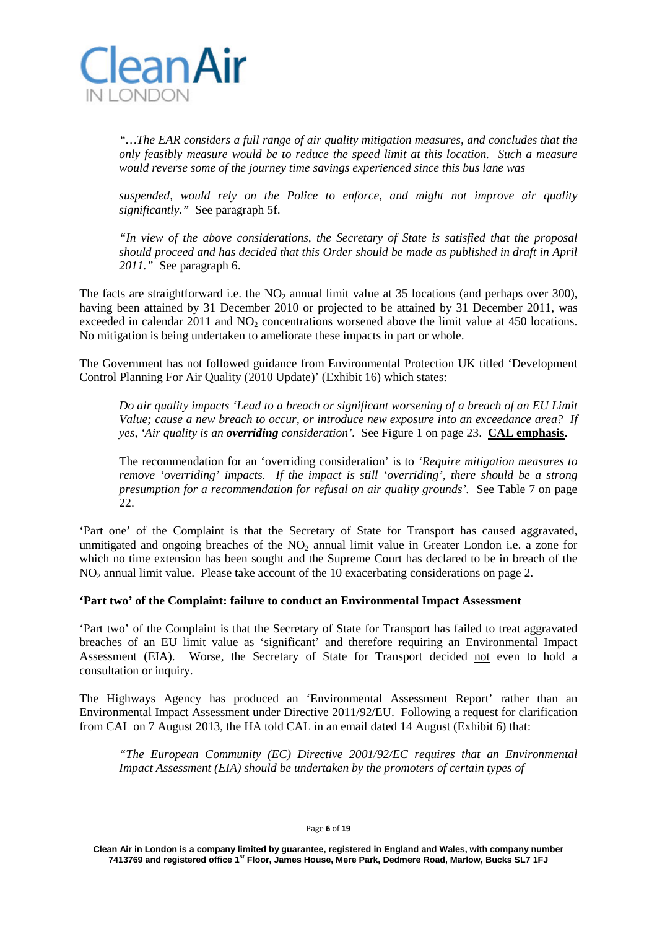

*"…The EAR considers a full range of air quality mitigation measures, and concludes that the only feasibly measure would be to reduce the speed limit at this location. Such a measure would reverse some of the journey time savings experienced since this bus lane was* 

*suspended, would rely on the Police to enforce, and might not improve air quality significantly."* See paragraph 5f.

*"In view of the above considerations, the Secretary of State is satisfied that the proposal should proceed and has decided that this Order should be made as published in draft in April 2011."* See paragraph 6.

The facts are straightforward i.e. the  $NO<sub>2</sub>$  annual limit value at 35 locations (and perhaps over 300), having been attained by 31 December 2010 or projected to be attained by 31 December 2011, was exceeded in calendar  $2011$  and  $NO<sub>2</sub>$  concentrations worsened above the limit value at 450 locations. No mitigation is being undertaken to ameliorate these impacts in part or whole.

The Government has not followed guidance from Environmental Protection UK titled 'Development Control Planning For Air Quality (2010 Update)' (Exhibit 16) which states:

*Do air quality impacts 'Lead to a breach or significant worsening of a breach of an EU Limit Value; cause a new breach to occur, or introduce new exposure into an exceedance area? If yes, 'Air quality is an overriding consideration'.* See Figure 1 on page 23. **CAL emphasis.**

The recommendation for an 'overriding consideration' is to *'Require mitigation measures to remove 'overriding' impacts. If the impact is still 'overriding', there should be a strong presumption for a recommendation for refusal on air quality grounds'.* See Table 7 on page 22.

'Part one' of the Complaint is that the Secretary of State for Transport has caused aggravated, unmitigated and ongoing breaches of the  $NO<sub>2</sub>$  annual limit value in Greater London i.e. a zone for which no time extension has been sought and the Supreme Court has declared to be in breach of the NO<sub>2</sub> annual limit value. Please take account of the 10 exacerbating considerations on page 2.

## **'Part two' of the Complaint: failure to conduct an Environmental Impact Assessment**

'Part two' of the Complaint is that the Secretary of State for Transport has failed to treat aggravated breaches of an EU limit value as 'significant' and therefore requiring an Environmental Impact Assessment (EIA). Worse, the Secretary of State for Transport decided not even to hold a consultation or inquiry.

The Highways Agency has produced an 'Environmental Assessment Report' rather than an Environmental Impact Assessment under Directive 2011/92/EU. Following a request for clarification from CAL on 7 August 2013, the HA told CAL in an email dated 14 August (Exhibit 6) that:

*"The European Community (EC) Directive 2001/92/EC requires that an Environmental Impact Assessment (EIA) should be undertaken by the promoters of certain types of*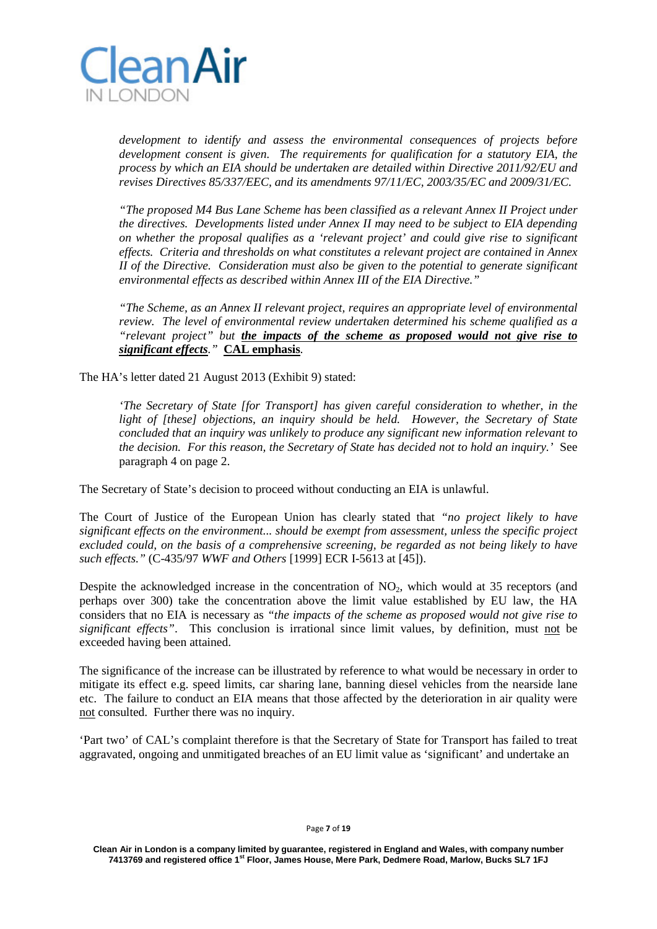

*development to identify and assess the environmental consequences of projects before development consent is given. The requirements for qualification for a statutory EIA, the process by which an EIA should be undertaken are detailed within Directive 2011/92/EU and revises Directives 85/337/EEC, and its amendments 97/11/EC, 2003/35/EC and 2009/31/EC.*

*"The proposed M4 Bus Lane Scheme has been classified as a relevant Annex II Project under the directives. Developments listed under Annex II may need to be subject to EIA depending on whether the proposal qualifies as a 'relevant project' and could give rise to significant effects. Criteria and thresholds on what constitutes a relevant project are contained in Annex II of the Directive. Consideration must also be given to the potential to generate significant environmental effects as described within Annex III of the EIA Directive."*

*"The Scheme, as an Annex II relevant project, requires an appropriate level of environmental review. The level of environmental review undertaken determined his scheme qualified as a "relevant project" but the impacts of the scheme as proposed would not give rise to significant effects."* **CAL emphasis***.*

The HA's letter dated 21 August 2013 (Exhibit 9) stated:

*'The Secretary of State [for Transport] has given careful consideration to whether, in the light of [these] objections, an inquiry should be held. However, the Secretary of State concluded that an inquiry was unlikely to produce any significant new information relevant to the decision. For this reason, the Secretary of State has decided not to hold an inquiry.'* See paragraph 4 on page 2.

The Secretary of State's decision to proceed without conducting an EIA is unlawful.

The Court of Justice of the European Union has clearly stated that *"no project likely to have significant effects on the environment... should be exempt from assessment, unless the specific project excluded could, on the basis of a comprehensive screening, be regarded as not being likely to have such effects."* (C-435/97 *WWF and Others* [1999] ECR I-5613 at [45]).

Despite the acknowledged increase in the concentration of NO<sub>2</sub>, which would at 35 receptors (and perhaps over 300) take the concentration above the limit value established by EU law, the HA considers that no EIA is necessary as *"the impacts of the scheme as proposed would not give rise to significant effects"*. This conclusion is irrational since limit values, by definition, must not be exceeded having been attained.

The significance of the increase can be illustrated by reference to what would be necessary in order to mitigate its effect e.g. speed limits, car sharing lane, banning diesel vehicles from the nearside lane etc. The failure to conduct an EIA means that those affected by the deterioration in air quality were not consulted. Further there was no inquiry.

'Part two' of CAL's complaint therefore is that the Secretary of State for Transport has failed to treat aggravated, ongoing and unmitigated breaches of an EU limit value as 'significant' and undertake an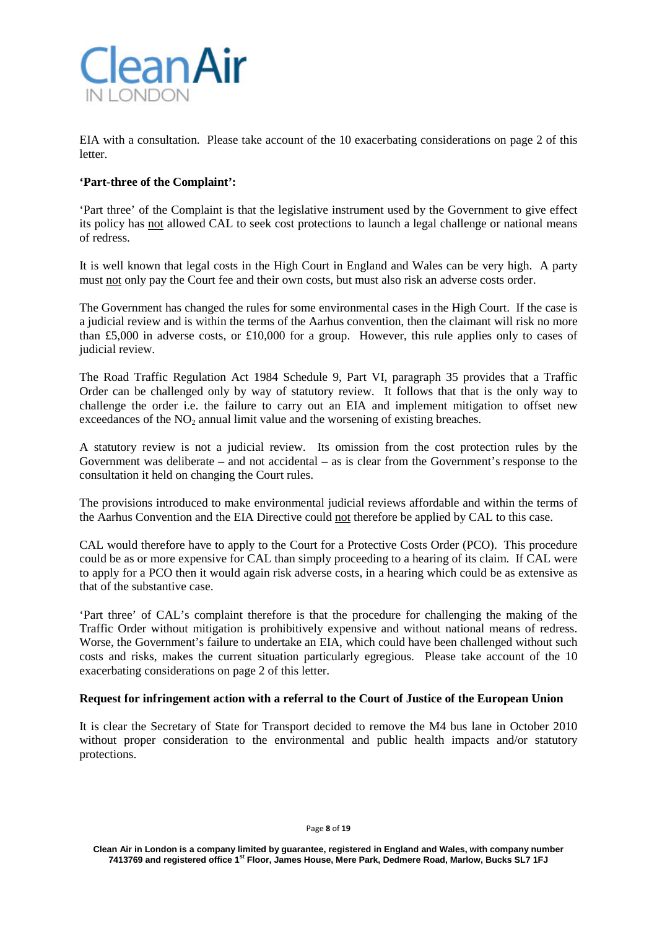

EIA with a consultation. Please take account of the 10 exacerbating considerations on page 2 of this letter.

## **'Part-three of the Complaint':**

'Part three' of the Complaint is that the legislative instrument used by the Government to give effect its policy has not allowed CAL to seek cost protections to launch a legal challenge or national means of redress.

It is well known that legal costs in the High Court in England and Wales can be very high. A party must not only pay the Court fee and their own costs, but must also risk an adverse costs order.

The Government has changed the rules for some environmental cases in the High Court. If the case is a judicial review and is within the terms of the Aarhus convention, then the claimant will risk no more than £5,000 in adverse costs, or £10,000 for a group. However, this rule applies only to cases of judicial review.

The Road Traffic Regulation Act 1984 Schedule 9, Part VI, paragraph 35 provides that a Traffic Order can be challenged only by way of statutory review. It follows that that is the only way to challenge the order i.e. the failure to carry out an EIA and implement mitigation to offset new exceedances of the  $NO<sub>2</sub>$  annual limit value and the worsening of existing breaches.

A statutory review is not a judicial review. Its omission from the cost protection rules by the Government was deliberate – and not accidental – as is clear from the Government's response to the consultation it held on changing the Court rules.

The provisions introduced to make environmental judicial reviews affordable and within the terms of the Aarhus Convention and the EIA Directive could not therefore be applied by CAL to this case.

CAL would therefore have to apply to the Court for a Protective Costs Order (PCO). This procedure could be as or more expensive for CAL than simply proceeding to a hearing of its claim. If CAL were to apply for a PCO then it would again risk adverse costs, in a hearing which could be as extensive as that of the substantive case.

'Part three' of CAL's complaint therefore is that the procedure for challenging the making of the Traffic Order without mitigation is prohibitively expensive and without national means of redress. Worse, the Government's failure to undertake an EIA, which could have been challenged without such costs and risks, makes the current situation particularly egregious. Please take account of the 10 exacerbating considerations on page 2 of this letter.

## **Request for infringement action with a referral to the Court of Justice of the European Union**

It is clear the Secretary of State for Transport decided to remove the M4 bus lane in October 2010 without proper consideration to the environmental and public health impacts and/or statutory protections.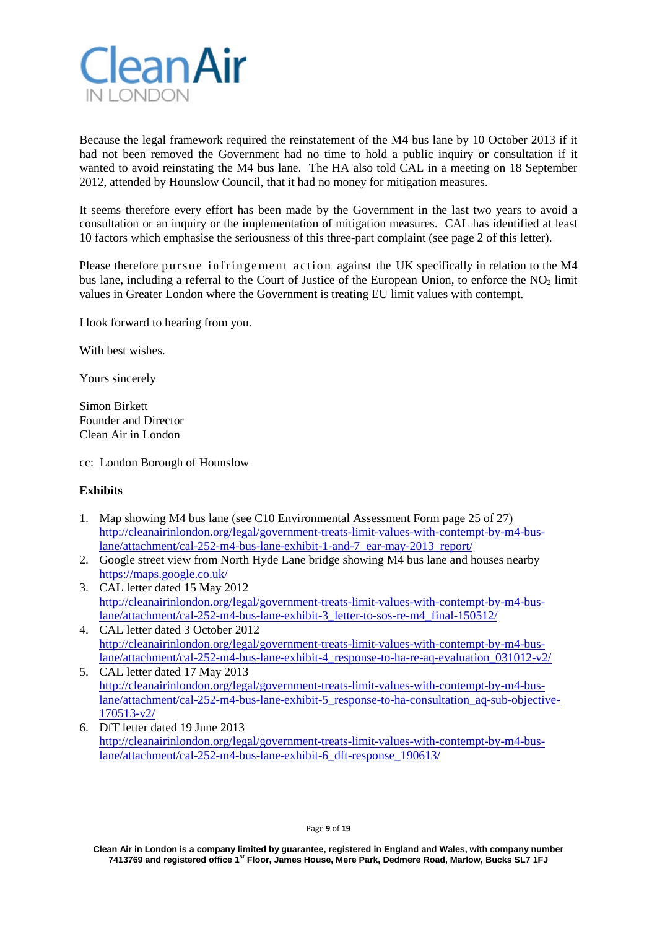

Because the legal framework required the reinstatement of the M4 bus lane by 10 October 2013 if it had not been removed the Government had no time to hold a public inquiry or consultation if it wanted to avoid reinstating the M4 bus lane. The HA also told CAL in a meeting on 18 September 2012, attended by Hounslow Council, that it had no money for mitigation measures.

It seems therefore every effort has been made by the Government in the last two years to avoid a consultation or an inquiry or the implementation of mitigation measures. CAL has identified at least 10 factors which emphasise the seriousness of this three-part complaint (see page 2 of this letter).

Please therefore pursue infringement action against the UK specifically in relation to the M4 bus lane, including a referral to the Court of Justice of the European Union, to enforce the  $NO<sub>2</sub>$  limit values in Greater London where the Government is treating EU limit values with contempt.

I look forward to hearing from you.

With best wishes.

Yours sincerely

Simon Birkett Founder and Director Clean Air in London

cc: London Borough of Hounslow

## **Exhibits**

- 1. Map showing M4 bus lane (see C10 Environmental Assessment Form page 25 of 27) [http://cleanairinlondon.org/legal/government-treats-limit-values-with-contempt-by-m4-bus](http://cleanairinlondon.org/legal/government-treats-limit-values-with-contempt-by-m4-bus-lane/attachment/cal-252-m4-bus-lane-exhibit-1-and-7_ear-may-2013_report/)[lane/attachment/cal-252-m4-bus-lane-exhibit-1-and-7\\_ear-may-2013\\_report/](http://cleanairinlondon.org/legal/government-treats-limit-values-with-contempt-by-m4-bus-lane/attachment/cal-252-m4-bus-lane-exhibit-1-and-7_ear-may-2013_report/)
- 2. Google street view from North Hyde Lane bridge showing M4 bus lane and houses nearby <https://maps.google.co.uk/>
- 3. CAL letter dated 15 May 2012 [http://cleanairinlondon.org/legal/government-treats-limit-values-with-contempt-by-m4-bus](http://cleanairinlondon.org/legal/government-treats-limit-values-with-contempt-by-m4-bus-lane/attachment/cal-252-m4-bus-lane-exhibit-3_letter-to-sos-re-m4_final-150512/)[lane/attachment/cal-252-m4-bus-lane-exhibit-3\\_letter-to-sos-re-m4\\_final-150512/](http://cleanairinlondon.org/legal/government-treats-limit-values-with-contempt-by-m4-bus-lane/attachment/cal-252-m4-bus-lane-exhibit-3_letter-to-sos-re-m4_final-150512/)
- 4. CAL letter dated 3 October 2012 [http://cleanairinlondon.org/legal/government-treats-limit-values-with-contempt-by-m4-bus](http://cleanairinlondon.org/legal/government-treats-limit-values-with-contempt-by-m4-bus-lane/attachment/cal-252-m4-bus-lane-exhibit-4_response-to-ha-re-aq-evaluation_031012-v2/)[lane/attachment/cal-252-m4-bus-lane-exhibit-4\\_response-to-ha-re-aq-evaluation\\_031012-v2/](http://cleanairinlondon.org/legal/government-treats-limit-values-with-contempt-by-m4-bus-lane/attachment/cal-252-m4-bus-lane-exhibit-4_response-to-ha-re-aq-evaluation_031012-v2/)
- 5. CAL letter dated 17 May 2013 [http://cleanairinlondon.org/legal/government-treats-limit-values-with-contempt-by-m4-bus](http://cleanairinlondon.org/legal/government-treats-limit-values-with-contempt-by-m4-bus-lane/attachment/cal-252-m4-bus-lane-exhibit-5_response-to-ha-consultation_aq-sub-objective-170513-v2/)[lane/attachment/cal-252-m4-bus-lane-exhibit-5\\_response-to-ha-consultation\\_aq-sub-objective-](http://cleanairinlondon.org/legal/government-treats-limit-values-with-contempt-by-m4-bus-lane/attachment/cal-252-m4-bus-lane-exhibit-5_response-to-ha-consultation_aq-sub-objective-170513-v2/)[170513-v2/](http://cleanairinlondon.org/legal/government-treats-limit-values-with-contempt-by-m4-bus-lane/attachment/cal-252-m4-bus-lane-exhibit-5_response-to-ha-consultation_aq-sub-objective-170513-v2/)
- 6. DfT letter dated 19 June 2013 [http://cleanairinlondon.org/legal/government-treats-limit-values-with-contempt-by-m4-bus](http://cleanairinlondon.org/legal/government-treats-limit-values-with-contempt-by-m4-bus-lane/attachment/cal-252-m4-bus-lane-exhibit-6_dft-response_190613/)[lane/attachment/cal-252-m4-bus-lane-exhibit-6\\_dft-response\\_190613/](http://cleanairinlondon.org/legal/government-treats-limit-values-with-contempt-by-m4-bus-lane/attachment/cal-252-m4-bus-lane-exhibit-6_dft-response_190613/)

**Clean Air in London is a company limited by guarantee, registered in England and Wales, with company number 7413769 and registered office 1st Floor, James House, Mere Park, Dedmere Road, Marlow, Bucks SL7 1FJ**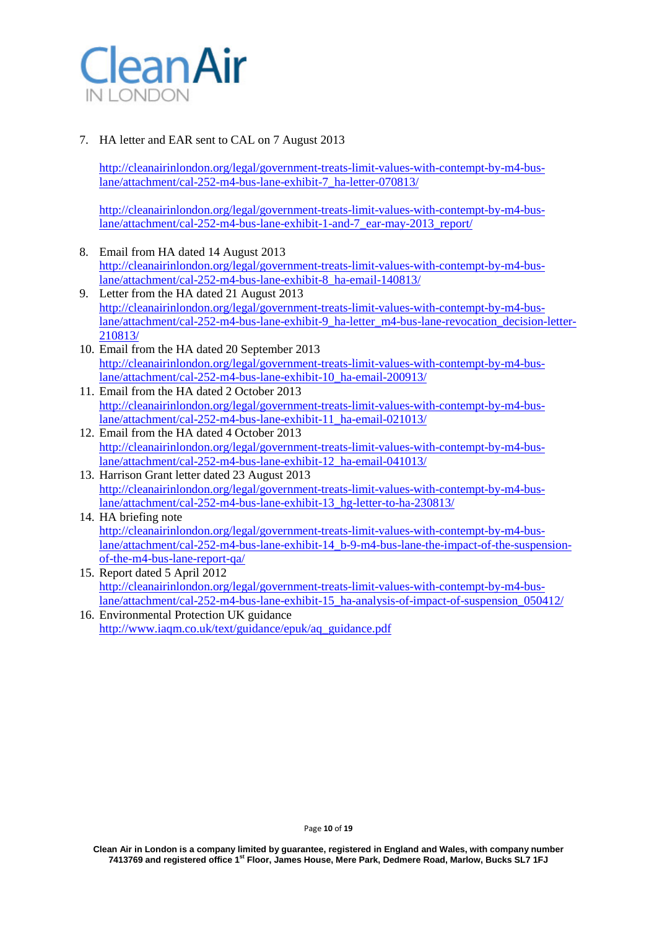

## 7. HA letter and EAR sent to CAL on 7 August 2013

[http://cleanairinlondon.org/legal/government-treats-limit-values-with-contempt-by-m4-bus](http://cleanairinlondon.org/legal/government-treats-limit-values-with-contempt-by-m4-bus-lane/attachment/cal-252-m4-bus-lane-exhibit-7_ha-letter-070813/)[lane/attachment/cal-252-m4-bus-lane-exhibit-7\\_ha-letter-070813/](http://cleanairinlondon.org/legal/government-treats-limit-values-with-contempt-by-m4-bus-lane/attachment/cal-252-m4-bus-lane-exhibit-7_ha-letter-070813/)

[http://cleanairinlondon.org/legal/government-treats-limit-values-with-contempt-by-m4-bus](http://cleanairinlondon.org/legal/government-treats-limit-values-with-contempt-by-m4-bus-lane/attachment/cal-252-m4-bus-lane-exhibit-1-and-7_ear-may-2013_report/)[lane/attachment/cal-252-m4-bus-lane-exhibit-1-and-7\\_ear-may-2013\\_report/](http://cleanairinlondon.org/legal/government-treats-limit-values-with-contempt-by-m4-bus-lane/attachment/cal-252-m4-bus-lane-exhibit-1-and-7_ear-may-2013_report/)

- 8. Email from HA dated 14 August 2013 [http://cleanairinlondon.org/legal/government-treats-limit-values-with-contempt-by-m4-bus](http://cleanairinlondon.org/legal/government-treats-limit-values-with-contempt-by-m4-bus-lane/attachment/cal-252-m4-bus-lane-exhibit-8_ha-email-140813/)[lane/attachment/cal-252-m4-bus-lane-exhibit-8\\_ha-email-140813/](http://cleanairinlondon.org/legal/government-treats-limit-values-with-contempt-by-m4-bus-lane/attachment/cal-252-m4-bus-lane-exhibit-8_ha-email-140813/)
- 9. Letter from the HA dated 21 August 2013 [http://cleanairinlondon.org/legal/government-treats-limit-values-with-contempt-by-m4-bus](http://cleanairinlondon.org/legal/government-treats-limit-values-with-contempt-by-m4-bus-lane/attachment/cal-252-m4-bus-lane-exhibit-9_ha-letter_m4-bus-lane-revocation_decision-letter-210813/)[lane/attachment/cal-252-m4-bus-lane-exhibit-9\\_ha-letter\\_m4-bus-lane-revocation\\_decision-letter-](http://cleanairinlondon.org/legal/government-treats-limit-values-with-contempt-by-m4-bus-lane/attachment/cal-252-m4-bus-lane-exhibit-9_ha-letter_m4-bus-lane-revocation_decision-letter-210813/)[210813/](http://cleanairinlondon.org/legal/government-treats-limit-values-with-contempt-by-m4-bus-lane/attachment/cal-252-m4-bus-lane-exhibit-9_ha-letter_m4-bus-lane-revocation_decision-letter-210813/)
- 10. Email from the HA dated 20 September 2013 [http://cleanairinlondon.org/legal/government-treats-limit-values-with-contempt-by-m4-bus](http://cleanairinlondon.org/legal/government-treats-limit-values-with-contempt-by-m4-bus-lane/attachment/cal-252-m4-bus-lane-exhibit-10_ha-email-200913/)[lane/attachment/cal-252-m4-bus-lane-exhibit-10\\_ha-email-200913/](http://cleanairinlondon.org/legal/government-treats-limit-values-with-contempt-by-m4-bus-lane/attachment/cal-252-m4-bus-lane-exhibit-10_ha-email-200913/)
- 11. Email from the HA dated 2 October 2013 [http://cleanairinlondon.org/legal/government-treats-limit-values-with-contempt-by-m4-bus](http://cleanairinlondon.org/legal/government-treats-limit-values-with-contempt-by-m4-bus-lane/attachment/cal-252-m4-bus-lane-exhibit-11_ha-email-021013/)[lane/attachment/cal-252-m4-bus-lane-exhibit-11\\_ha-email-021013/](http://cleanairinlondon.org/legal/government-treats-limit-values-with-contempt-by-m4-bus-lane/attachment/cal-252-m4-bus-lane-exhibit-11_ha-email-021013/)
- 12. Email from the HA dated 4 October 2013 [http://cleanairinlondon.org/legal/government-treats-limit-values-with-contempt-by-m4-bus](http://cleanairinlondon.org/legal/government-treats-limit-values-with-contempt-by-m4-bus-lane/attachment/cal-252-m4-bus-lane-exhibit-12_ha-email-041013/)[lane/attachment/cal-252-m4-bus-lane-exhibit-12\\_ha-email-041013/](http://cleanairinlondon.org/legal/government-treats-limit-values-with-contempt-by-m4-bus-lane/attachment/cal-252-m4-bus-lane-exhibit-12_ha-email-041013/)
- 13. Harrison Grant letter dated 23 August 2013 [http://cleanairinlondon.org/legal/government-treats-limit-values-with-contempt-by-m4-bus](http://cleanairinlondon.org/legal/government-treats-limit-values-with-contempt-by-m4-bus-lane/attachment/cal-252-m4-bus-lane-exhibit-13_hg-letter-to-ha-230813/)[lane/attachment/cal-252-m4-bus-lane-exhibit-13\\_hg-letter-to-ha-230813/](http://cleanairinlondon.org/legal/government-treats-limit-values-with-contempt-by-m4-bus-lane/attachment/cal-252-m4-bus-lane-exhibit-13_hg-letter-to-ha-230813/)
- 14. HA briefing note [http://cleanairinlondon.org/legal/government-treats-limit-values-with-contempt-by-m4-bus](http://cleanairinlondon.org/legal/government-treats-limit-values-with-contempt-by-m4-bus-lane/attachment/cal-252-m4-bus-lane-exhibit-14_b-9-m4-bus-lane-the-impact-of-the-suspension-of-the-m4-bus-lane-report-qa/)[lane/attachment/cal-252-m4-bus-lane-exhibit-14\\_b-9-m4-bus-lane-the-impact-of-the-suspension](http://cleanairinlondon.org/legal/government-treats-limit-values-with-contempt-by-m4-bus-lane/attachment/cal-252-m4-bus-lane-exhibit-14_b-9-m4-bus-lane-the-impact-of-the-suspension-of-the-m4-bus-lane-report-qa/)[of-the-m4-bus-lane-report-qa/](http://cleanairinlondon.org/legal/government-treats-limit-values-with-contempt-by-m4-bus-lane/attachment/cal-252-m4-bus-lane-exhibit-14_b-9-m4-bus-lane-the-impact-of-the-suspension-of-the-m4-bus-lane-report-qa/)
- 15. Report dated 5 April 2012 [http://cleanairinlondon.org/legal/government-treats-limit-values-with-contempt-by-m4-bus](http://cleanairinlondon.org/legal/government-treats-limit-values-with-contempt-by-m4-bus-lane/attachment/cal-252-m4-bus-lane-exhibit-15_ha-analysis-of-impact-of-suspension_050412/)[lane/attachment/cal-252-m4-bus-lane-exhibit-15\\_ha-analysis-of-impact-of-suspension\\_050412/](http://cleanairinlondon.org/legal/government-treats-limit-values-with-contempt-by-m4-bus-lane/attachment/cal-252-m4-bus-lane-exhibit-15_ha-analysis-of-impact-of-suspension_050412/)
- 16. Environmental Protection UK guidance [http://www.iaqm.co.uk/text/guidance/epuk/aq\\_guidance.pdf](http://www.iaqm.co.uk/text/guidance/epuk/aq_guidance.pdf)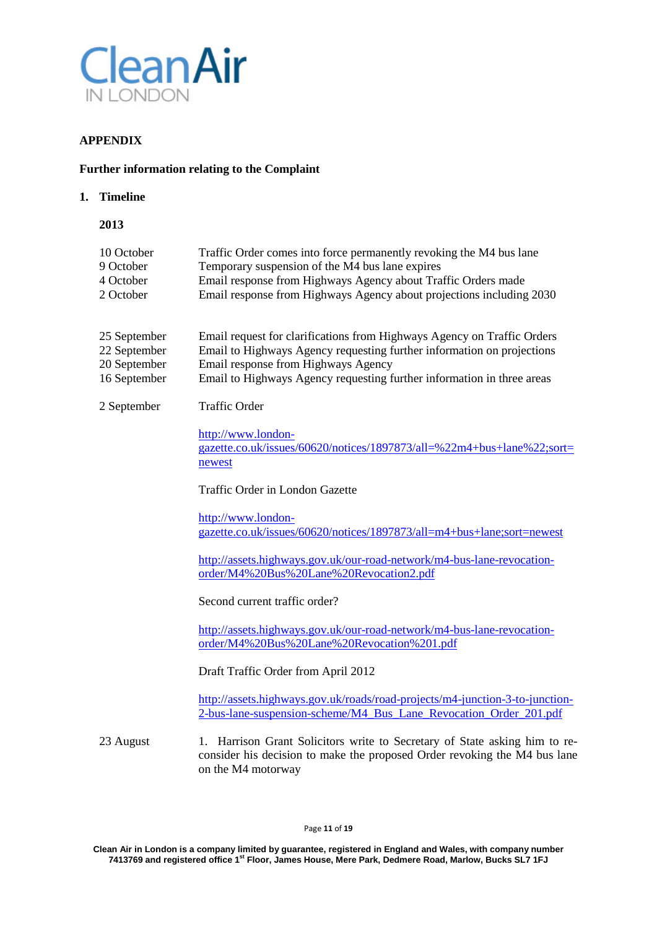

# **APPENDIX**

#### **Further information relating to the Complaint**

#### **1. Timeline**

| 2013       |                                                                      |
|------------|----------------------------------------------------------------------|
| 10 October | Traffic Order comes into force permanently revoking the M4 bus lane  |
| 9 October  | Temporary suspension of the M4 bus lane expires                      |
| 4 October  | Email response from Highways Agency about Traffic Orders made        |
| 2 October  | Email response from Highways Agency about projections including 2030 |

| 25 September | Email request for clarifications from Highways Agency on Traffic Orders |
|--------------|-------------------------------------------------------------------------|
| 22 September | Email to Highways Agency requesting further information on projections  |
| 20 September | Email response from Highways Agency                                     |
| 16 September | Email to Highways Agency requesting further information in three areas  |

#### 2 September Traffic Order

[http://www.london](http://www.london-gazette.co.uk/issues/60620/notices/1897873/all=%22m4+bus+lane%22;sort=newest)[gazette.co.uk/issues/60620/notices/1897873/all=%22m4+bus+lane%22;sort=](http://www.london-gazette.co.uk/issues/60620/notices/1897873/all=%22m4+bus+lane%22;sort=newest) [newest](http://www.london-gazette.co.uk/issues/60620/notices/1897873/all=%22m4+bus+lane%22;sort=newest)

Traffic Order in London Gazette

[http://www.london](http://www.london-gazette.co.uk/issues/60620/notices/1897873/all=m4+bus+lane;sort=newest)[gazette.co.uk/issues/60620/notices/1897873/all=m4+bus+lane;sort=newest](http://www.london-gazette.co.uk/issues/60620/notices/1897873/all=m4+bus+lane;sort=newest)

[http://assets.highways.gov.uk/our-road-network/m4-bus-lane-revocation](http://assets.highways.gov.uk/our-road-network/m4-bus-lane-revocation-order/M4%20Bus%20Lane%20Revocation2.pdf)[order/M4%20Bus%20Lane%20Revocation2.pdf](http://assets.highways.gov.uk/our-road-network/m4-bus-lane-revocation-order/M4%20Bus%20Lane%20Revocation2.pdf)

Second current traffic order?

[http://assets.highways.gov.uk/our-road-network/m4-bus-lane-revocation](http://assets.highways.gov.uk/our-road-network/m4-bus-lane-revocation-order/M4%20Bus%20Lane%20Revocation%201.pdf)[order/M4%20Bus%20Lane%20Revocation%201.pdf](http://assets.highways.gov.uk/our-road-network/m4-bus-lane-revocation-order/M4%20Bus%20Lane%20Revocation%201.pdf)

Draft Traffic Order from April 2012

[http://assets.highways.gov.uk/roads/road-projects/m4-junction-3-to-junction-](http://assets.highways.gov.uk/roads/road-projects/m4-junction-3-to-junction-2-bus-lane-suspension-scheme/M4_Bus_Lane_Revocation_Order_201.pdf)[2-bus-lane-suspension-scheme/M4\\_Bus\\_Lane\\_Revocation\\_Order\\_201.pdf](http://assets.highways.gov.uk/roads/road-projects/m4-junction-3-to-junction-2-bus-lane-suspension-scheme/M4_Bus_Lane_Revocation_Order_201.pdf)

23 August 1. Harrison Grant Solicitors write to Secretary of State asking him to reconsider his decision to make the proposed Order revoking the M4 bus lane on the M4 motorway

**Clean Air in London is a company limited by guarantee, registered in England and Wales, with company number 7413769 and registered office 1st Floor, James House, Mere Park, Dedmere Road, Marlow, Bucks SL7 1FJ**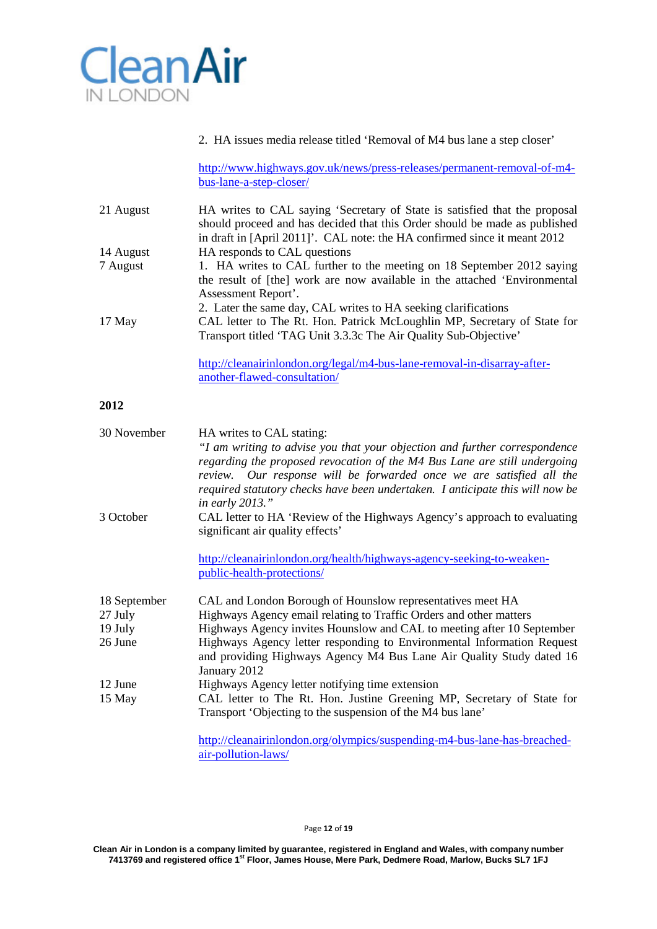

## 2. HA issues media release titled 'Removal of M4 bus lane a step closer'

[http://www.highways.gov.uk/news/press-releases/permanent-removal-of-m4](http://www.highways.gov.uk/news/press-releases/permanent-removal-of-m4-bus-lane-a-step-closer/) [bus-lane-a-step-closer/](http://www.highways.gov.uk/news/press-releases/permanent-removal-of-m4-bus-lane-a-step-closer/)

| 21 August | HA writes to CAL saying 'Secretary of State is satisfied that the proposal<br>should proceed and has decided that this Order should be made as published |
|-----------|----------------------------------------------------------------------------------------------------------------------------------------------------------|
|           | in draft in [April 2011]'. CAL note: the HA confirmed since it meant 2012                                                                                |
| 14 August | HA responds to CAL questions                                                                                                                             |
| 7 August  | 1. HA writes to CAL further to the meeting on 18 September 2012 saying                                                                                   |
|           | the result of [the] work are now available in the attached 'Environmental                                                                                |
|           | Assessment Report'.                                                                                                                                      |
|           | 2. Later the same day, CAL writes to HA seeking clarifications                                                                                           |
| 17 May    | CAL letter to The Rt. Hon. Patrick McLoughlin MP, Secretary of State for                                                                                 |
|           | Transport titled 'TAG Unit 3.3.3c The Air Quality Sub-Objective'                                                                                         |
|           |                                                                                                                                                          |
|           | $http://cleanairinlondon.org/leaf/m4-hus-lane-removal-in-disarray_{a}fer-$                                                                               |

[http://cleanairinlondon.org/legal/m4-bus-lane-removal-in-disarray-after](http://cleanairinlondon.org/legal/m4-bus-lane-removal-in-disarray-after-another-flawed-consultation/)[another-flawed-consultation/](http://cleanairinlondon.org/legal/m4-bus-lane-removal-in-disarray-after-another-flawed-consultation/)

## **2012**

| 30 November  | HA writes to CAL stating:<br>"I am writing to advise you that your objection and further correspondence<br>regarding the proposed revocation of the M4 Bus Lane are still undergoing<br>review. Our response will be forwarded once we are satisfied all the<br>required statutory checks have been undertaken. I anticipate this will now be |
|--------------|-----------------------------------------------------------------------------------------------------------------------------------------------------------------------------------------------------------------------------------------------------------------------------------------------------------------------------------------------|
| 3 October    | <i>in early 2013.</i> "<br>CAL letter to HA 'Review of the Highways Agency's approach to evaluating<br>significant air quality effects'                                                                                                                                                                                                       |
|              | http://cleanairinlondon.org/health/highways-agency-seeking-to-weaken-<br>public-health-protections/                                                                                                                                                                                                                                           |
| 18 September | CAL and London Borough of Hounslow representatives meet HA                                                                                                                                                                                                                                                                                    |
| 27 July      | Highways Agency email relating to Traffic Orders and other matters                                                                                                                                                                                                                                                                            |
| 19 July      | Highways Agency invites Hounslow and CAL to meeting after 10 September                                                                                                                                                                                                                                                                        |
| 26 June      | Highways Agency letter responding to Environmental Information Request<br>and providing Highways Agency M4 Bus Lane Air Quality Study dated 16<br>January 2012                                                                                                                                                                                |
| 12 June      | Highways Agency letter notifying time extension                                                                                                                                                                                                                                                                                               |
| 15 May       | CAL letter to The Rt. Hon. Justine Greening MP, Secretary of State for                                                                                                                                                                                                                                                                        |
|              | Transport 'Objecting to the suspension of the M4 bus lane'                                                                                                                                                                                                                                                                                    |
|              | http://cleanairinlondon.org/olympics/suspending-m4-bus-lane-has-breached-<br>air-pollution-laws/                                                                                                                                                                                                                                              |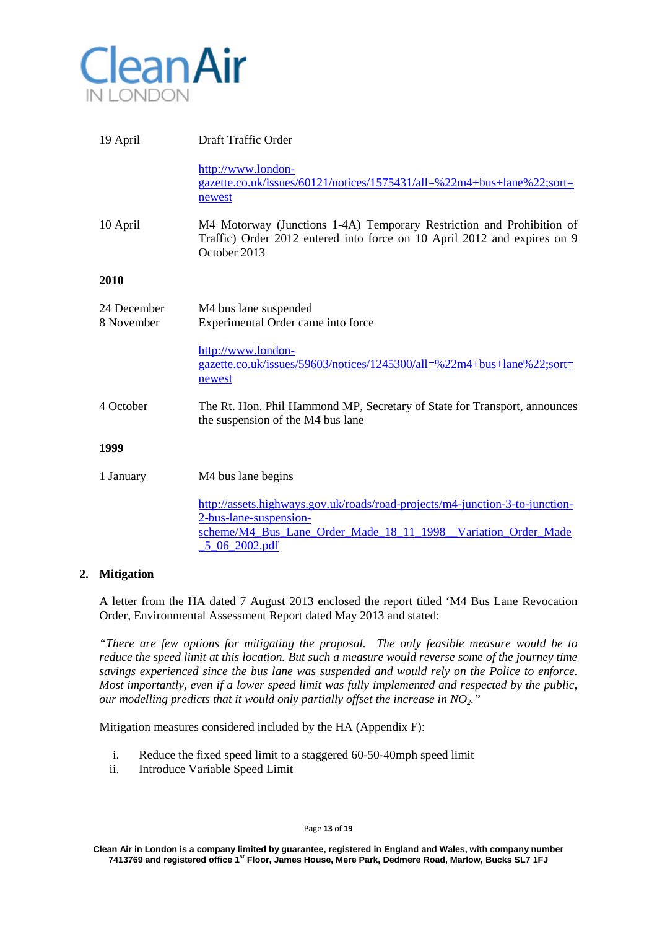

| 19 April                  | Draft Traffic Order                                                                                                                                                                      |
|---------------------------|------------------------------------------------------------------------------------------------------------------------------------------------------------------------------------------|
|                           | http://www.london-<br>gazette.co.uk/issues/60121/notices/1575431/all=%22m4+bus+lane%22;sort=<br>newest                                                                                   |
| 10 April                  | M4 Motorway (Junctions 1-4A) Temporary Restriction and Prohibition of<br>Traffic) Order 2012 entered into force on 10 April 2012 and expires on 9<br>October 2013                        |
| 2010                      |                                                                                                                                                                                          |
| 24 December<br>8 November | M4 bus lane suspended<br>Experimental Order came into force                                                                                                                              |
|                           | http://www.london-<br>gazette.co.uk/issues/59603/notices/1245300/all=%22m4+bus+lane%22;sort=<br>newest                                                                                   |
| 4 October                 | The Rt. Hon. Phil Hammond MP, Secretary of State for Transport, announces<br>the suspension of the M4 bus lane                                                                           |
| 1999                      |                                                                                                                                                                                          |
| 1 January                 | M4 bus lane begins                                                                                                                                                                       |
|                           | http://assets.highways.gov.uk/roads/road-projects/m4-junction-3-to-junction-<br>2-bus-lane-suspension-<br>scheme/M4 Bus Lane Order Made 18 11 1998 Variation Order Made<br>5 06 2002.pdf |

## **2. Mitigation**

A letter from the HA dated 7 August 2013 enclosed the report titled 'M4 Bus Lane Revocation Order, Environmental Assessment Report dated May 2013 and stated:

*"There are few options for mitigating the proposal. The only feasible measure would be to reduce the speed limit at this location. But such a measure would reverse some of the journey time savings experienced since the bus lane was suspended and would rely on the Police to enforce. Most importantly, even if a lower speed limit was fully implemented and respected by the public, our modelling predicts that it would only partially offset the increase in NO2."*

Mitigation measures considered included by the HA (Appendix F):

- i. Reduce the fixed speed limit to a staggered 60-50-40mph speed limit
- ii. Introduce Variable Speed Limit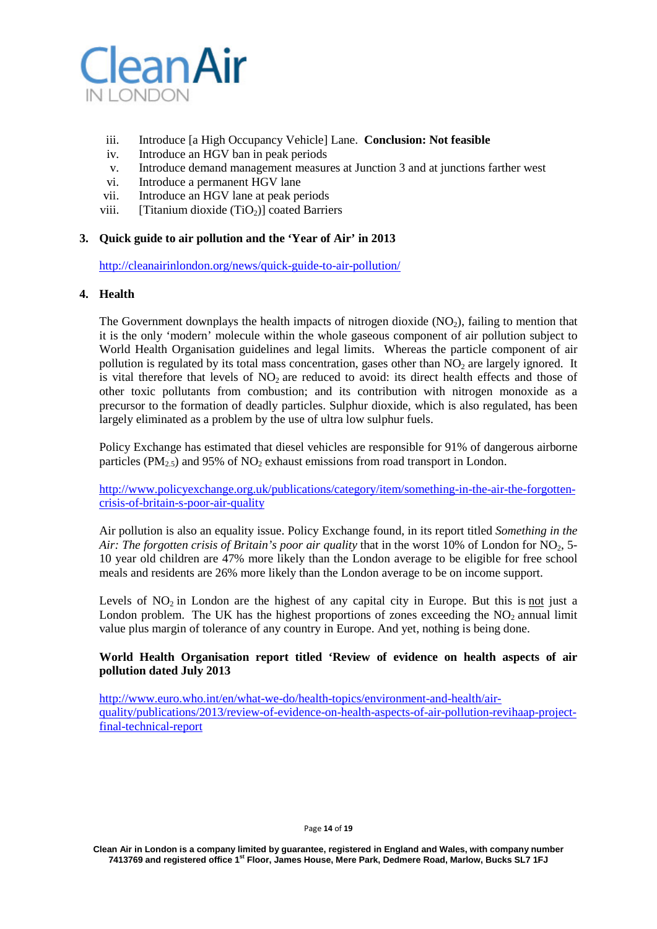

- iii. Introduce [a High Occupancy Vehicle] Lane. **Conclusion: Not feasible**
- iv. Introduce an HGV ban in peak periods
- v. Introduce demand management measures at Junction 3 and at junctions farther west
- vi. Introduce a permanent HGV lane
- vii. Introduce an HGV lane at peak periods
- viii. [Titanium dioxide  $(TiO<sub>2</sub>)$ ] coated Barriers

## **3. Quick guide to air pollution and the 'Year of Air' in 2013**

<http://cleanairinlondon.org/news/quick-guide-to-air-pollution/>

## **4. Health**

The Government downplays the health impacts of nitrogen dioxide  $(NO<sub>2</sub>)$ , failing to mention that it is the only 'modern' molecule within the whole gaseous component of air pollution subject to World Health Organisation guidelines and legal limits. Whereas the particle component of air pollution is regulated by its total mass concentration, gases other than  $NO<sub>2</sub>$  are largely ignored. It is vital therefore that levels of  $NO<sub>2</sub>$  are reduced to avoid: its direct health effects and those of other toxic pollutants from combustion; and its contribution with nitrogen monoxide as a precursor to the formation of deadly particles. Sulphur dioxide, which is also regulated, has been largely eliminated as a problem by the use of ultra low sulphur fuels.

Policy Exchange has estimated that diesel vehicles are responsible for 91% of dangerous airborne particles (PM<sub>2.5</sub>) and 95% of NO<sub>2</sub> exhaust emissions from road transport in London.

[http://www.policyexchange.org.uk/publications/category/item/something-in-the-air-the-forgotten](http://www.policyexchange.org.uk/publications/category/item/something-in-the-air-the-forgotten-crisis-of-britain-s-poor-air-quality)[crisis-of-britain-s-poor-air-quality](http://www.policyexchange.org.uk/publications/category/item/something-in-the-air-the-forgotten-crisis-of-britain-s-poor-air-quality)

Air pollution is also an equality issue. Policy Exchange found, in its report titled *[Something](http://www.google.co.uk/url?sa=t&rct=j&q=&esrc=s&source=web&cd=1&cad=rja&ved=0CDQQFjAA&url=http%3A%2F%2Fwww.policyexchange.org.uk%2Fimages%2Fpublications%2Fsomething%2520in%2520the%2520air.pdf&ei=f700UcTlBuWf0QWI7oGQAQ&usg=AFQjCNG7H11njwEN5QLnJqOnJ_Is2n87BA&sig2=MwtcYPQHGeHhwNJbtbdcng&bvm=bv.43148975,d.d2k) in the* Air: The [forgotten](http://www.google.co.uk/url?sa=t&rct=j&q=&esrc=s&source=web&cd=1&cad=rja&ved=0CDQQFjAA&url=http%3A%2F%2Fwww.policyexchange.org.uk%2Fimages%2Fpublications%2Fsomething%2520in%2520the%2520air.pdf&ei=f700UcTlBuWf0QWI7oGQAQ&usg=AFQjCNG7H11njwEN5QLnJqOnJ_Is2n87BA&sig2=MwtcYPQHGeHhwNJbtbdcng&bvm=bv.43148975,d.d2k) crisis of Britain's poor air quality that in the worst 10% of London for  $NO<sub>2</sub>$ , 5-10 year old children are 47% more likely than the London average to be eligible for free school meals and residents are 26% more likely than the London average to be on income support.

Levels of  $NO<sub>2</sub>$  in London are the highest of any capital city in Europe. But this is not just a London problem. The UK has the highest proportions of zones exceeding the  $NO<sub>2</sub>$  annual limit value plus margin of tolerance of any country in Europe. And yet, nothing is being done.

## **World Health Organisation report titled 'Review of evidence on health aspects of air pollution dated July 2013**

[http://www.euro.who.int/en/what-we-do/health-topics/environment-and-health/air](http://www.euro.who.int/en/what-we-do/health-topics/environment-and-health/air-quality/publications/2013/review-of-evidence-on-health-aspects-of-air-pollution-revihaap-project-final-technical-report)[quality/publications/2013/review-of-evidence-on-health-aspects-of-air-pollution-revihaap-project](http://www.euro.who.int/en/what-we-do/health-topics/environment-and-health/air-quality/publications/2013/review-of-evidence-on-health-aspects-of-air-pollution-revihaap-project-final-technical-report)[final-technical-report](http://www.euro.who.int/en/what-we-do/health-topics/environment-and-health/air-quality/publications/2013/review-of-evidence-on-health-aspects-of-air-pollution-revihaap-project-final-technical-report)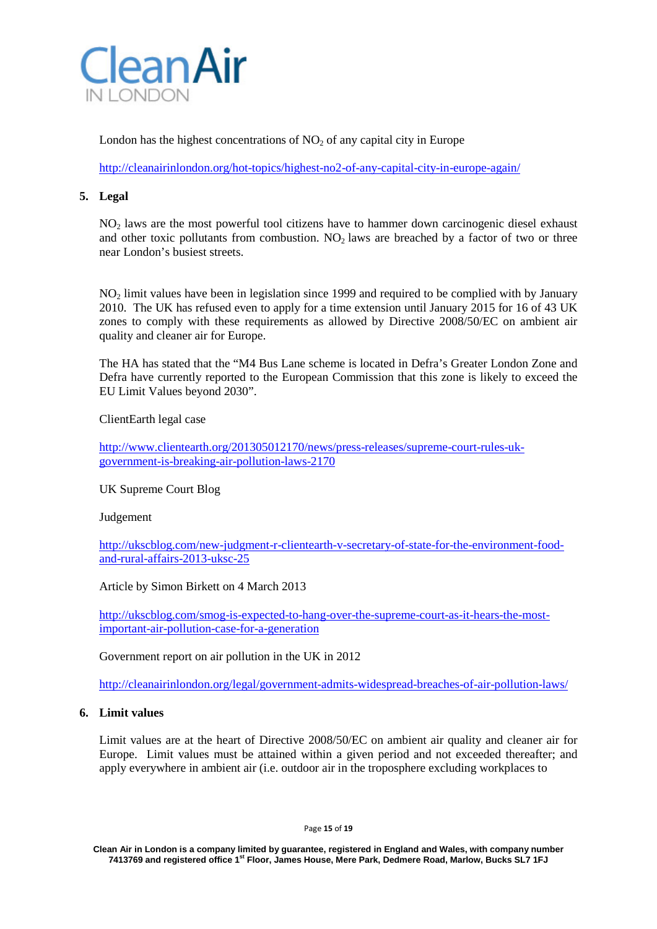

London has the highest concentrations of  $NO<sub>2</sub>$  of any capital city in Europe

<http://cleanairinlondon.org/hot-topics/highest-no2-of-any-capital-city-in-europe-again/>

## **5. Legal**

NO<sub>2</sub> laws are the most powerful tool citizens have to hammer down carcinogenic diesel exhaust and other toxic pollutants from combustion.  $NO<sub>2</sub>$  laws are breached by a factor of two or three near London's busiest streets.

NO2 limit values have been in legislation since 1999 and required to be complied with by January 2010. The UK has refused even to apply for a time extension until January 2015 for 16 of 43 UK zones to comply with these requirements as allowed by Directive 2008/50/EC on ambient air quality and cleaner air for Europe.

The HA has stated that the "M4 Bus Lane scheme is located in Defra's Greater London Zone and Defra have currently reported to the European Commission that this zone is likely to exceed the EU Limit Values beyond 2030".

ClientEarth legal case

[http://www.clientearth.org/201305012170/news/press-releases/supreme-court-rules-uk](http://www.clientearth.org/201305012170/news/press-releases/supreme-court-rules-uk-government-is-breaking-air-pollution-laws-2170)[government-is-breaking-air-pollution-laws-2170](http://www.clientearth.org/201305012170/news/press-releases/supreme-court-rules-uk-government-is-breaking-air-pollution-laws-2170)

UK Supreme Court Blog

Judgement

[http://ukscblog.com/new-judgment-r-clientearth-v-secretary-of-state-for-the-environment-food](http://ukscblog.com/new-judgment-r-clientearth-v-secretary-of-state-for-the-environment-food-and-rural-affairs-2013-uksc-25)[and-rural-affairs-2013-uksc-25](http://ukscblog.com/new-judgment-r-clientearth-v-secretary-of-state-for-the-environment-food-and-rural-affairs-2013-uksc-25)

Article by Simon Birkett on 4 March 2013

[http://ukscblog.com/smog-is-expected-to-hang-over-the-supreme-court-as-it-hears-the-most](http://ukscblog.com/smog-is-expected-to-hang-over-the-supreme-court-as-it-hears-the-most-important-air-pollution-case-for-a-generation)[important-air-pollution-case-for-a-generation](http://ukscblog.com/smog-is-expected-to-hang-over-the-supreme-court-as-it-hears-the-most-important-air-pollution-case-for-a-generation)

Government report on air pollution in the UK in 2012

<http://cleanairinlondon.org/legal/government-admits-widespread-breaches-of-air-pollution-laws/>

#### **6. Limit values**

Limit values are at the heart of Directive 2008/50/EC on ambient air quality and cleaner air for Europe. Limit values must be attained within a given period and not exceeded thereafter; and apply everywhere in ambient air (i.e. outdoor air in the troposphere excluding workplaces to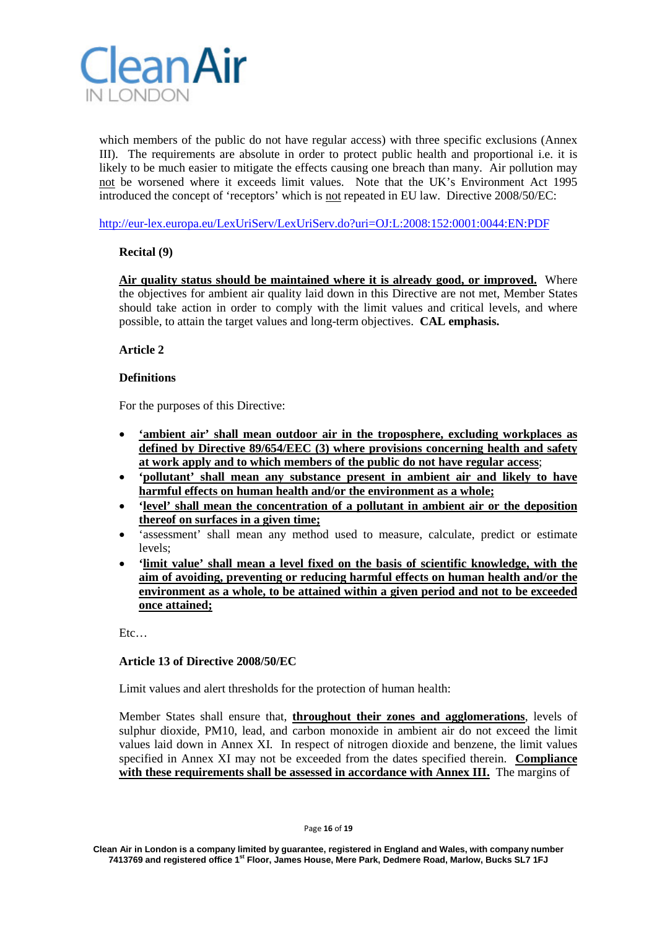

which members of the public do not have regular access) with three specific exclusions (Annex III). The requirements are absolute in order to protect public health and proportional i.e. it is likely to be much easier to mitigate the effects causing one breach than many. Air pollution may not be worsened where it exceeds limit values. Note that the UK's Environment Act 1995 introduced the concept of 'receptors' which is not repeated in EU law. Directive 2008/50/EC:

<http://eur-lex.europa.eu/LexUriServ/LexUriServ.do?uri=OJ:L:2008:152:0001:0044:EN:PDF>

## **Recital (9)**

**Air quality status should be maintained where it is already good, or improved.** Where the objectives for ambient air quality laid down in this Directive are not met, Member States should take action in order to comply with the limit values and critical levels, and where possible, to attain the target values and long-term objectives. **CAL emphasis.**

## **Article 2**

## **Definitions**

For the purposes of this Directive:

- **'ambient air' shall mean outdoor air in the troposphere, excluding workplaces as defined by Directive 89/654/EEC (3) where provisions concerning health and safety at work apply and to which members of the public do not have regular access**;
- **'pollutant' shall mean any substance present in ambient air and likely to have harmful effects on human health and/or the environment as a whole;**
- **'level' shall mean the concentration of a pollutant in ambient air or the deposition thereof on surfaces in a given time;**
- 'assessment' shall mean any method used to measure, calculate, predict or estimate levels;
- **'limit value' shall mean a level fixed on the basis of scientific knowledge, with the aim of avoiding, preventing or reducing harmful effects on human health and/or the environment as a whole, to be attained within a given period and not to be exceeded once attained;**

Etc…

## **Article 13 of Directive 2008/50/EC**

Limit values and alert thresholds for the protection of human health:

Member States shall ensure that, **throughout their zones and agglomerations**, levels of sulphur dioxide, PM10, lead, and carbon monoxide in ambient air do not exceed the limit values laid down in Annex XI. In respect of nitrogen dioxide and benzene, the limit values specified in Annex XI may not be exceeded from the dates specified therein. **Compliance with these requirements shall be assessed in accordance with Annex III.** The margins of

**Clean Air in London is a company limited by guarantee, registered in England and Wales, with company number 7413769 and registered office 1st Floor, James House, Mere Park, Dedmere Road, Marlow, Bucks SL7 1FJ**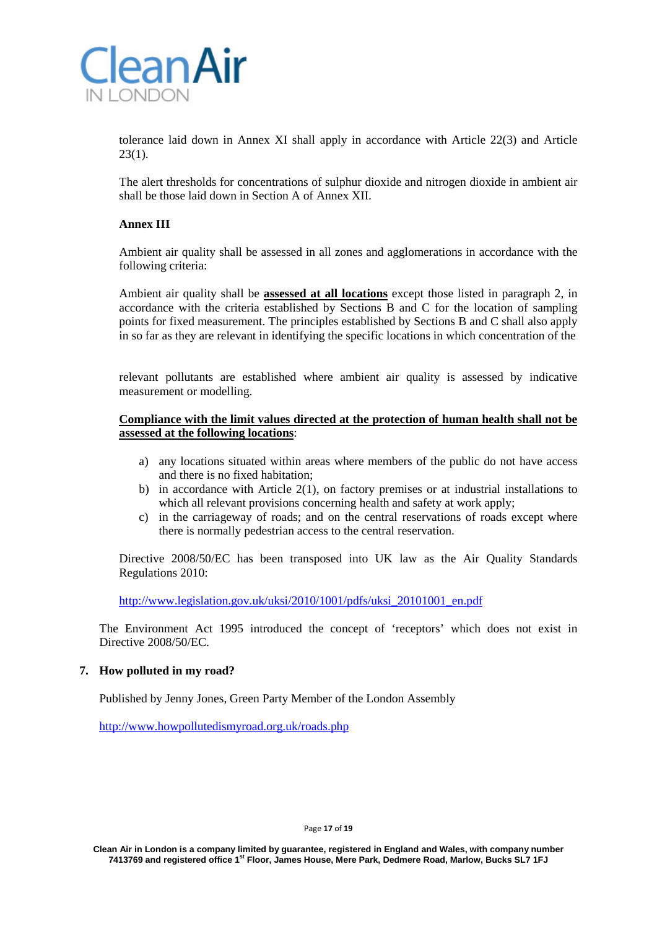

tolerance laid down in Annex XI shall apply in accordance with Article 22(3) and Article  $23(1)$ .

The alert thresholds for concentrations of sulphur dioxide and nitrogen dioxide in ambient air shall be those laid down in Section A of Annex XII.

## **Annex III**

Ambient air quality shall be assessed in all zones and agglomerations in accordance with the following criteria:

Ambient air quality shall be **assessed at all locations** except those listed in paragraph 2, in accordance with the criteria established by Sections B and C for the location of sampling points for fixed measurement. The principles established by Sections B and C shall also apply in so far as they are relevant in identifying the specific locations in which concentration of the

relevant pollutants are established where ambient air quality is assessed by indicative measurement or modelling.

## **Compliance with the limit values directed at the protection of human health shall not be assessed at the following locations**:

- a) any locations situated within areas where members of the public do not have access and there is no fixed habitation;
- b) in accordance with Article 2(1), on factory premises or at industrial installations to which all relevant provisions concerning health and safety at work apply;
- c) in the carriageway of roads; and on the central reservations of roads except where there is normally pedestrian access to the central reservation.

Directive 2008/50/EC has been transposed into UK law as the Air Quality Standards Regulations 2010:

[http://www.legislation.gov.uk/uksi/2010/1001/pdfs/uksi\\_20101001\\_en.pdf](http://www.legislation.gov.uk/uksi/2010/1001/pdfs/uksi_20101001_en.pdf)

The Environment Act 1995 introduced the concept of 'receptors' which does not exist in Directive 2008/50/EC.

## **7. How polluted in my road?**

Published by Jenny Jones, Green Party Member of the London Assembly

<http://www.howpollutedismyroad.org.uk/roads.php>

#### Page **17** of **19**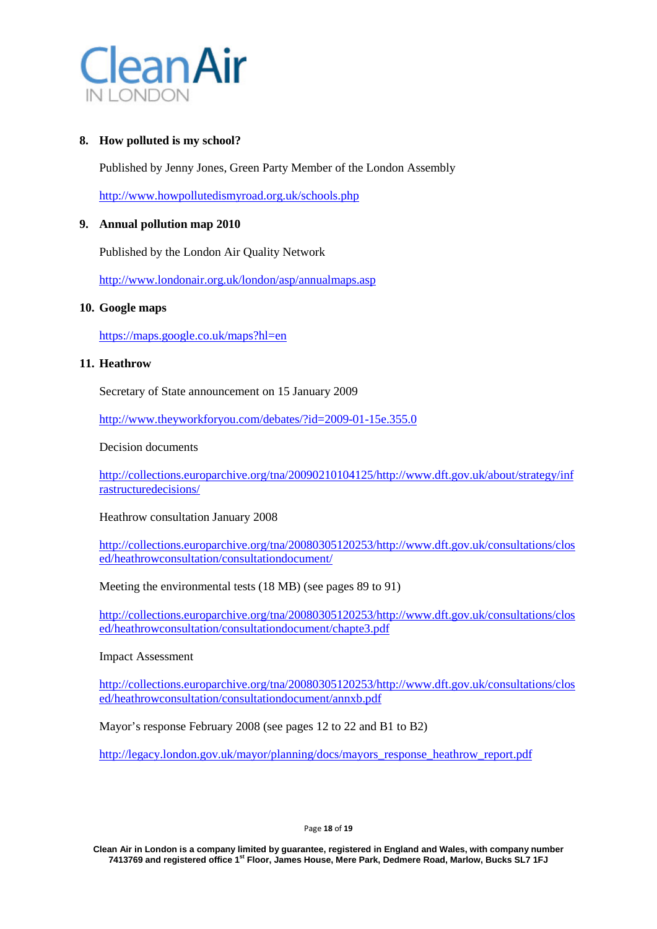

## **8. How polluted is my school?**

Published by Jenny Jones, Green Party Member of the London Assembly

<http://www.howpollutedismyroad.org.uk/schools.php>

## **9. Annual pollution map 2010**

Published by the London Air Quality Network

<http://www.londonair.org.uk/london/asp/annualmaps.asp>

## **10. Google maps**

<https://maps.google.co.uk/maps?hl=en>

#### **11. Heathrow**

Secretary of State announcement on 15 January 2009

<http://www.theyworkforyou.com/debates/?id=2009-01-15e.355.0>

Decision documents

[http://collections.europarchive.org/tna/20090210104125/http://www.dft.gov.uk/about/strategy/inf](http://collections.europarchive.org/tna/20090210104125/http:/www.dft.gov.uk/about/strategy/infrastructuredecisions/) [rastructuredecisions/](http://collections.europarchive.org/tna/20090210104125/http:/www.dft.gov.uk/about/strategy/infrastructuredecisions/)

## Heathrow consultation January 2008

[http://collections.europarchive.org/tna/20080305120253/http://www.dft.gov.uk/consultations/clos](http://collections.europarchive.org/tna/20080305120253/http:/www.dft.gov.uk/consultations/closed/heathrowconsultation/consultationdocument/) [ed/heathrowconsultation/consultationdocument/](http://collections.europarchive.org/tna/20080305120253/http:/www.dft.gov.uk/consultations/closed/heathrowconsultation/consultationdocument/)

Meeting the environmental tests (18 MB) (see pages 89 to 91)

[http://collections.europarchive.org/tna/20080305120253/http://www.dft.gov.uk/consultations/clos](http://collections.europarchive.org/tna/20080305120253/http:/www.dft.gov.uk/consultations/closed/heathrowconsultation/consultationdocument/chapte3.pdf) [ed/heathrowconsultation/consultationdocument/chapte3.pdf](http://collections.europarchive.org/tna/20080305120253/http:/www.dft.gov.uk/consultations/closed/heathrowconsultation/consultationdocument/chapte3.pdf)

## Impact Assessment

[http://collections.europarchive.org/tna/20080305120253/http://www.dft.gov.uk/consultations/clos](http://collections.europarchive.org/tna/20080305120253/http:/www.dft.gov.uk/consultations/closed/heathrowconsultation/consultationdocument/annxb.pdf) [ed/heathrowconsultation/consultationdocument/annxb.pdf](http://collections.europarchive.org/tna/20080305120253/http:/www.dft.gov.uk/consultations/closed/heathrowconsultation/consultationdocument/annxb.pdf)

Mayor's response February 2008 (see pages 12 to 22 and B1 to B2)

[http://legacy.london.gov.uk/mayor/planning/docs/mayors\\_response\\_heathrow\\_report.pdf](http://legacy.london.gov.uk/mayor/planning/docs/mayors_response_heathrow_report.pdf)

**Clean Air in London is a company limited by guarantee, registered in England and Wales, with company number 7413769 and registered office 1st Floor, James House, Mere Park, Dedmere Road, Marlow, Bucks SL7 1FJ**